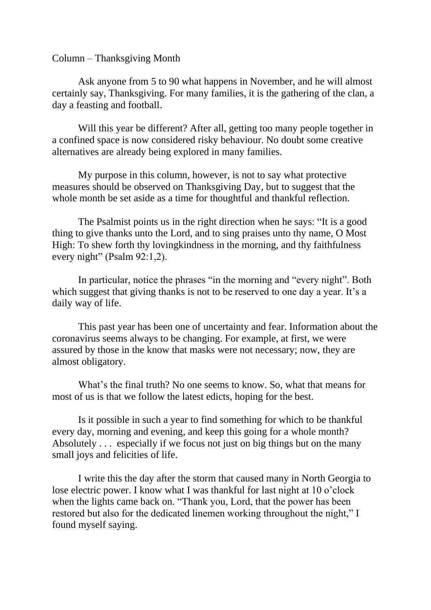## Column – Thanksgiving Month

Ask anyone from 5 to 90 what happens in November, and he will almost certainly say, Thanksgiving. For many families, it is the gathering of the clan, a day a feasting and football.

Will this year be different? After all, getting too many people together in a confined space is now considered risky behaviour. No doubt some creative alternatives are already being explored in many families.

My purpose in this column, however, is not to say what protective measures should be observed on Thanksgiving Day, but to suggest that the whole month be set aside as a time for thoughtful and thankful reflection.

The Psalmist points us in the right direction when he says: "It is a good thing to give thanks unto the Lord, and to sing praises unto thy name, O Most High: To shew forth thy lovingkindness in the morning, and thy faithfulness every night" (Psalm 92:1,2).

In particular, notice the phrases "in the morning and "every night". Both which suggest that giving thanks is not to be reserved to one day a year. It's a daily way of life.

This past year has been one of uncertainty and fear. Information about the coronavirus seems always to be changing. For example, at first, we were assured by those in the know that masks were not necessary; now, they are almost obligatory.

What's the final truth? No one seems to know. So, what that means for most of us is that we follow the latest edicts, hoping for the best.

Is it possible in such a year to find something for which to be thankful every day, morning and evening, and keep this going for a whole month? Absolutely . . . especially if we focus not just on big things but on the many small joys and felicities of life.

I write this the day after the storm that caused many in North Georgia to lose electric power. I know what I was thankful for last night at 10 o'clock when the lights came back on. "Thank you, Lord, that the power has been restored but also for the dedicated linemen working throughout the night," I found myself saying.